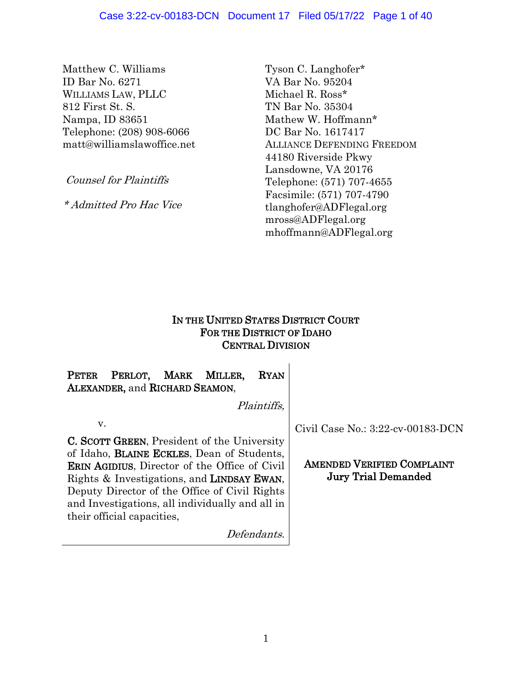Matthew C. Williams ID Bar No. 6271 WILLIAMS LAW, PLLC 812 First St. S. Nampa, ID 83651 Telephone: (208) 908-6066 matt@williamslawoffice.net

Counsel for Plaintiffs

\* Admitted Pro Hac Vice

Tyson C. Langhofer\* VA Bar No. 95204 Michael R. Ross\* TN Bar No. 35304 Mathew W. Hoffmann\* DC Bar No. 1617417 ALLIANCE DEFENDING FREEDOM 44180 Riverside Pkwy Lansdowne, VA 20176 Telephone: (571) 707-4655 Facsimile: (571) 707-4790 tlanghofer@ADFlegal.org mross@ADFlegal.org mhoffmann@ADFlegal.org

# IN THE UNITED STATES DISTRICT COURT FOR THE DISTRICT OF IDAHO CENTRAL DIVISION

| PERLOT, MARK MILLER,<br>Peter<br>ALEXANDER, and RICHARD SEAMON, | <b>RYAN</b> |                                   |
|-----------------------------------------------------------------|-------------|-----------------------------------|
|                                                                 | Plaintiffs. |                                   |
| v.                                                              |             | Civil Case No.: 3:22-cv-00183-DCN |
| C. SCOTT GREEN, President of the University                     |             |                                   |
| of Idaho, <b>BLAINE ECKLES</b> , Dean of Students,              |             |                                   |
| ERIN AGIDIUS, Director of the Office of Civil                   |             | <b>AMENDED VERIFIED COMPLAINT</b> |
| Rights & Investigations, and LINDSAY EWAN,                      |             | <b>Jury Trial Demanded</b>        |

Deputy Director of the Office of Civil Rights and Investigations, all individually and all in

their official capacities,

Defendants.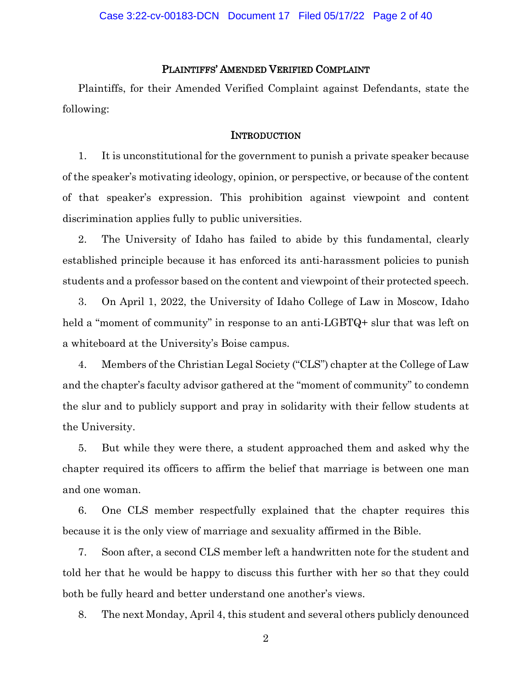# PLAINTIFFS' AMENDED VERIFIED COMPLAINT

Plaintiffs, for their Amended Verified Complaint against Defendants, state the following:

# **INTRODUCTION**

1. It is unconstitutional for the government to punish a private speaker because of the speaker's motivating ideology, opinion, or perspective, or because of the content of that speaker's expression. This prohibition against viewpoint and content discrimination applies fully to public universities.

2. The University of Idaho has failed to abide by this fundamental, clearly established principle because it has enforced its anti-harassment policies to punish students and a professor based on the content and viewpoint of their protected speech.

3. On April 1, 2022, the University of Idaho College of Law in Moscow, Idaho held a "moment of community" in response to an anti-LGBTQ+ slur that was left on a whiteboard at the University's Boise campus.

4. Members of the Christian Legal Society ("CLS") chapter at the College of Law and the chapter's faculty advisor gathered at the "moment of community" to condemn the slur and to publicly support and pray in solidarity with their fellow students at the University.

5. But while they were there, a student approached them and asked why the chapter required its officers to affirm the belief that marriage is between one man and one woman.

6. One CLS member respectfully explained that the chapter requires this because it is the only view of marriage and sexuality affirmed in the Bible.

7. Soon after, a second CLS member left a handwritten note for the student and told her that he would be happy to discuss this further with her so that they could both be fully heard and better understand one another's views.

8. The next Monday, April 4, this student and several others publicly denounced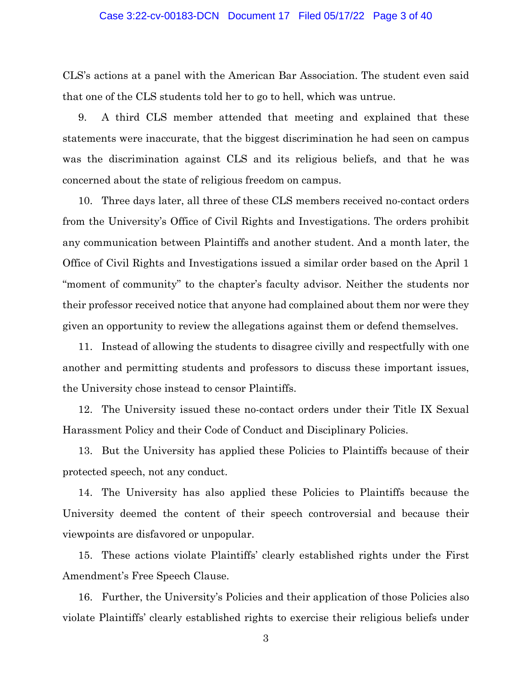#### Case 3:22-cv-00183-DCN Document 17 Filed 05/17/22 Page 3 of 40

CLS's actions at a panel with the American Bar Association. The student even said that one of the CLS students told her to go to hell, which was untrue.

9. A third CLS member attended that meeting and explained that these statements were inaccurate, that the biggest discrimination he had seen on campus was the discrimination against CLS and its religious beliefs, and that he was concerned about the state of religious freedom on campus.

10. Three days later, all three of these CLS members received no-contact orders from the University's Office of Civil Rights and Investigations. The orders prohibit any communication between Plaintiffs and another student. And a month later, the Office of Civil Rights and Investigations issued a similar order based on the April 1 "moment of community" to the chapter's faculty advisor. Neither the students nor their professor received notice that anyone had complained about them nor were they given an opportunity to review the allegations against them or defend themselves.

11. Instead of allowing the students to disagree civilly and respectfully with one another and permitting students and professors to discuss these important issues, the University chose instead to censor Plaintiffs.

12. The University issued these no-contact orders under their Title IX Sexual Harassment Policy and their Code of Conduct and Disciplinary Policies.

13. But the University has applied these Policies to Plaintiffs because of their protected speech, not any conduct.

14. The University has also applied these Policies to Plaintiffs because the University deemed the content of their speech controversial and because their viewpoints are disfavored or unpopular.

15. These actions violate Plaintiffs' clearly established rights under the First Amendment's Free Speech Clause.

16. Further, the University's Policies and their application of those Policies also violate Plaintiffs' clearly established rights to exercise their religious beliefs under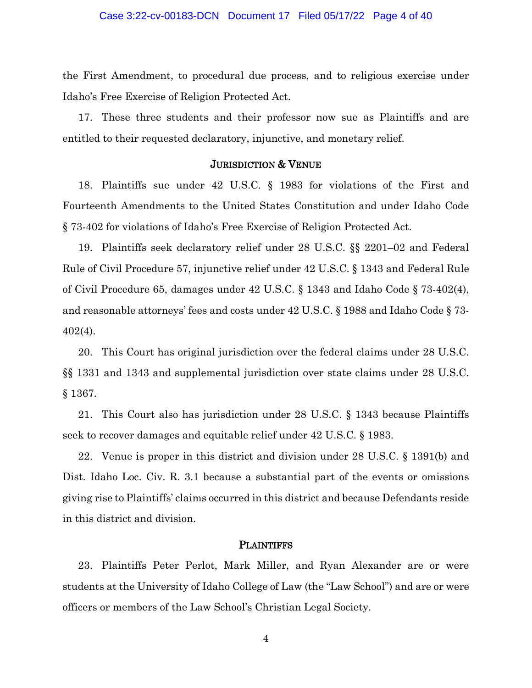#### Case 3:22-cv-00183-DCN Document 17 Filed 05/17/22 Page 4 of 40

the First Amendment, to procedural due process, and to religious exercise under Idaho's Free Exercise of Religion Protected Act.

17. These three students and their professor now sue as Plaintiffs and are entitled to their requested declaratory, injunctive, and monetary relief.

# JURISDICTION & VENUE

18. Plaintiffs sue under 42 U.S.C. § 1983 for violations of the First and Fourteenth Amendments to the United States Constitution and under Idaho Code § 73-402 for violations of Idaho's Free Exercise of Religion Protected Act.

19. Plaintiffs seek declaratory relief under 28 U.S.C. §§ 2201–02 and Federal Rule of Civil Procedure 57, injunctive relief under 42 U.S.C. § 1343 and Federal Rule of Civil Procedure 65, damages under 42 U.S.C. § 1343 and Idaho Code § 73-402(4), and reasonable attorneys' fees and costs under 42 U.S.C. § 1988 and Idaho Code § 73- 402(4).

20. This Court has original jurisdiction over the federal claims under 28 U.S.C. §§ 1331 and 1343 and supplemental jurisdiction over state claims under 28 U.S.C. § 1367.

21. This Court also has jurisdiction under 28 U.S.C. § 1343 because Plaintiffs seek to recover damages and equitable relief under 42 U.S.C. § 1983.

22. Venue is proper in this district and division under 28 U.S.C. § 1391(b) and Dist. Idaho Loc. Civ. R. 3.1 because a substantial part of the events or omissions giving rise to Plaintiffs' claims occurred in this district and because Defendants reside in this district and division.

# PLAINTIFFS

23. Plaintiffs Peter Perlot, Mark Miller, and Ryan Alexander are or were students at the University of Idaho College of Law (the "Law School") and are or were officers or members of the Law School's Christian Legal Society.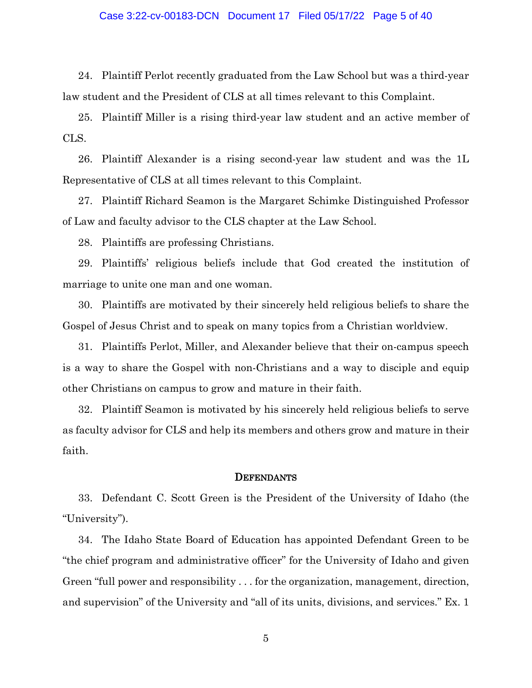#### Case 3:22-cv-00183-DCN Document 17 Filed 05/17/22 Page 5 of 40

24. Plaintiff Perlot recently graduated from the Law School but was a third-year law student and the President of CLS at all times relevant to this Complaint.

25. Plaintiff Miller is a rising third-year law student and an active member of CLS.

26. Plaintiff Alexander is a rising second-year law student and was the 1L Representative of CLS at all times relevant to this Complaint.

27. Plaintiff Richard Seamon is the Margaret Schimke Distinguished Professor of Law and faculty advisor to the CLS chapter at the Law School.

28. Plaintiffs are professing Christians.

29. Plaintiffs' religious beliefs include that God created the institution of marriage to unite one man and one woman.

30. Plaintiffs are motivated by their sincerely held religious beliefs to share the Gospel of Jesus Christ and to speak on many topics from a Christian worldview.

31. Plaintiffs Perlot, Miller, and Alexander believe that their on-campus speech is a way to share the Gospel with non-Christians and a way to disciple and equip other Christians on campus to grow and mature in their faith.

32. Plaintiff Seamon is motivated by his sincerely held religious beliefs to serve as faculty advisor for CLS and help its members and others grow and mature in their faith.

# **DEFENDANTS**

33. Defendant C. Scott Green is the President of the University of Idaho (the "University").

34. The Idaho State Board of Education has appointed Defendant Green to be "the chief program and administrative officer" for the University of Idaho and given Green "full power and responsibility . . . for the organization, management, direction, and supervision" of the University and "all of its units, divisions, and services." Ex. 1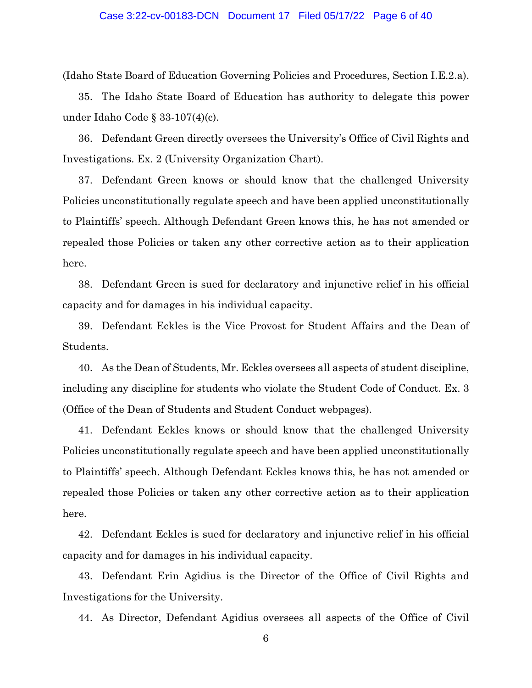#### Case 3:22-cv-00183-DCN Document 17 Filed 05/17/22 Page 6 of 40

(Idaho State Board of Education Governing Policies and Procedures, Section I.E.2.a).

35. The Idaho State Board of Education has authority to delegate this power under Idaho Code § 33-107(4)(c).

36. Defendant Green directly oversees the University's Office of Civil Rights and Investigations. Ex. 2 (University Organization Chart).

37. Defendant Green knows or should know that the challenged University Policies unconstitutionally regulate speech and have been applied unconstitutionally to Plaintiffs' speech. Although Defendant Green knows this, he has not amended or repealed those Policies or taken any other corrective action as to their application here.

38. Defendant Green is sued for declaratory and injunctive relief in his official capacity and for damages in his individual capacity.

39. Defendant Eckles is the Vice Provost for Student Affairs and the Dean of Students.

40. As the Dean of Students, Mr. Eckles oversees all aspects of student discipline, including any discipline for students who violate the Student Code of Conduct. Ex. 3 (Office of the Dean of Students and Student Conduct webpages).

41. Defendant Eckles knows or should know that the challenged University Policies unconstitutionally regulate speech and have been applied unconstitutionally to Plaintiffs' speech. Although Defendant Eckles knows this, he has not amended or repealed those Policies or taken any other corrective action as to their application here.

42. Defendant Eckles is sued for declaratory and injunctive relief in his official capacity and for damages in his individual capacity.

43. Defendant Erin Agidius is the Director of the Office of Civil Rights and Investigations for the University.

44. As Director, Defendant Agidius oversees all aspects of the Office of Civil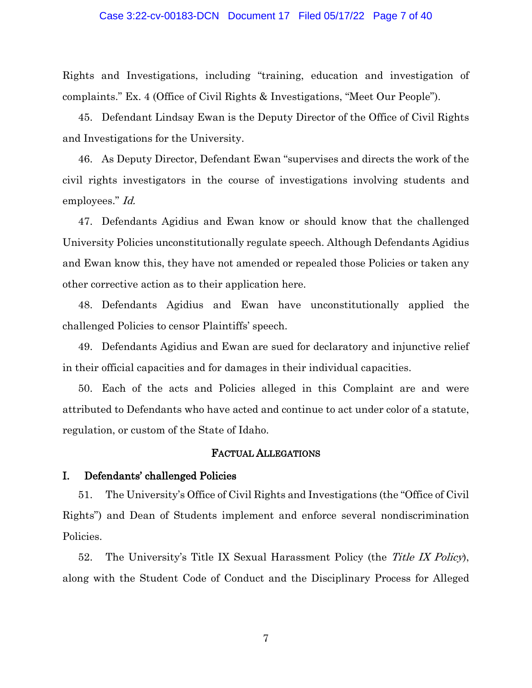### Case 3:22-cv-00183-DCN Document 17 Filed 05/17/22 Page 7 of 40

Rights and Investigations, including "training, education and investigation of complaints." Ex. 4 (Office of Civil Rights & Investigations, "Meet Our People").

45. Defendant Lindsay Ewan is the Deputy Director of the Office of Civil Rights and Investigations for the University.

46. As Deputy Director, Defendant Ewan "supervises and directs the work of the civil rights investigators in the course of investigations involving students and employees." *Id.* 

47. Defendants Agidius and Ewan know or should know that the challenged University Policies unconstitutionally regulate speech. Although Defendants Agidius and Ewan know this, they have not amended or repealed those Policies or taken any other corrective action as to their application here.

48. Defendants Agidius and Ewan have unconstitutionally applied the challenged Policies to censor Plaintiffs' speech.

49. Defendants Agidius and Ewan are sued for declaratory and injunctive relief in their official capacities and for damages in their individual capacities.

50. Each of the acts and Policies alleged in this Complaint are and were attributed to Defendants who have acted and continue to act under color of a statute, regulation, or custom of the State of Idaho.

# FACTUAL ALLEGATIONS

# I. Defendants' challenged Policies

51. The University's Office of Civil Rights and Investigations (the "Office of Civil Rights") and Dean of Students implement and enforce several nondiscrimination Policies.

52. The University's Title IX Sexual Harassment Policy (the Title IX Policy), along with the Student Code of Conduct and the Disciplinary Process for Alleged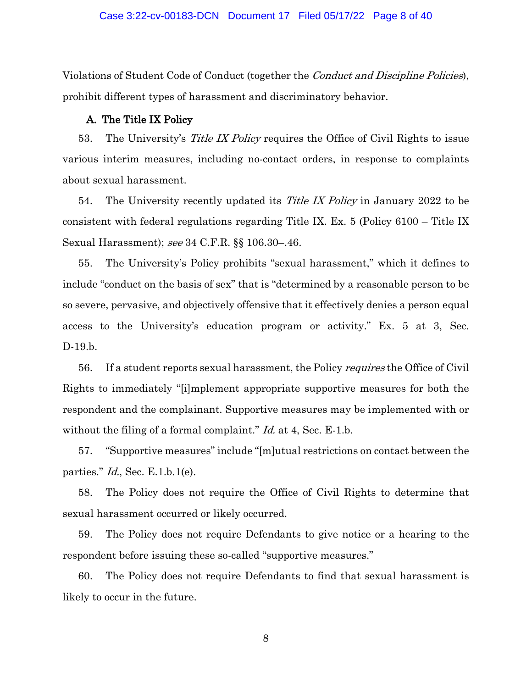Violations of Student Code of Conduct (together the *Conduct and Discipline Policies*), prohibit different types of harassment and discriminatory behavior.

# A. The Title IX Policy

53. The University's Title IX Policy requires the Office of Civil Rights to issue various interim measures, including no-contact orders, in response to complaints about sexual harassment.

54. The University recently updated its *Title IX Policy* in January 2022 to be consistent with federal regulations regarding Title IX. Ex. 5 (Policy 6100 – Title IX Sexual Harassment); see 34 C.F.R. §§ 106.30–.46.

55. The University's Policy prohibits "sexual harassment," which it defines to include "conduct on the basis of sex" that is "determined by a reasonable person to be so severe, pervasive, and objectively offensive that it effectively denies a person equal access to the University's education program or activity." Ex. 5 at 3, Sec. D-19.b.

56. If a student reports sexual harassment, the Policy *requires* the Office of Civil Rights to immediately "[i]mplement appropriate supportive measures for both the respondent and the complainant. Supportive measures may be implemented with or without the filing of a formal complaint." *Id.* at 4, Sec. E-1.b.

57. "Supportive measures" include "[m]utual restrictions on contact between the parties."  $Id$ , Sec. E.1.b.1(e).

58. The Policy does not require the Office of Civil Rights to determine that sexual harassment occurred or likely occurred.

59. The Policy does not require Defendants to give notice or a hearing to the respondent before issuing these so-called "supportive measures."

60. The Policy does not require Defendants to find that sexual harassment is likely to occur in the future.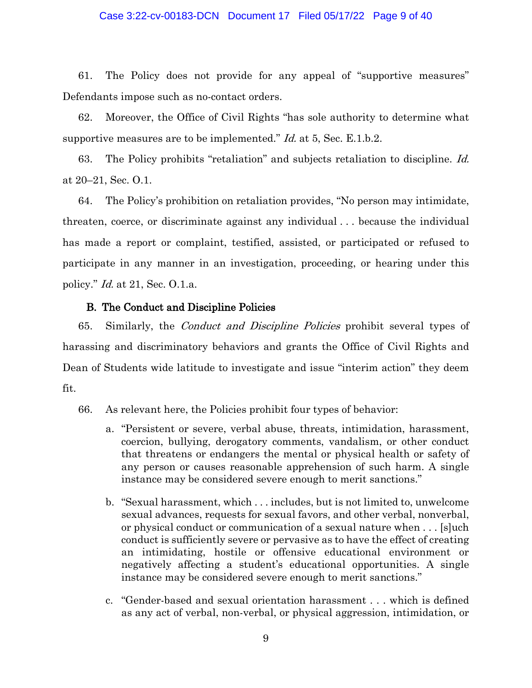# Case 3:22-cv-00183-DCN Document 17 Filed 05/17/22 Page 9 of 40

61. The Policy does not provide for any appeal of "supportive measures" Defendants impose such as no-contact orders.

62. Moreover, the Office of Civil Rights "has sole authority to determine what supportive measures are to be implemented." *Id.* at 5, Sec. E.1.b.2.

63. The Policy prohibits "retaliation" and subjects retaliation to discipline. Id. at 20–21, Sec. O.1.

64. The Policy's prohibition on retaliation provides, "No person may intimidate, threaten, coerce, or discriminate against any individual . . . because the individual has made a report or complaint, testified, assisted, or participated or refused to participate in any manner in an investigation, proceeding, or hearing under this policy." Id. at 21, Sec. O.1.a.

# B. The Conduct and Discipline Policies

65. Similarly, the Conduct and Discipline Policies prohibit several types of harassing and discriminatory behaviors and grants the Office of Civil Rights and Dean of Students wide latitude to investigate and issue "interim action" they deem fit.

- 66. As relevant here, the Policies prohibit four types of behavior:
	- a. "Persistent or severe, verbal abuse, threats, intimidation, harassment, coercion, bullying, derogatory comments, vandalism, or other conduct that threatens or endangers the mental or physical health or safety of any person or causes reasonable apprehension of such harm. A single instance may be considered severe enough to merit sanctions."
	- b. "Sexual harassment, which . . . includes, but is not limited to, unwelcome sexual advances, requests for sexual favors, and other verbal, nonverbal, or physical conduct or communication of a sexual nature when . . . [s]uch conduct is sufficiently severe or pervasive as to have the effect of creating an intimidating, hostile or offensive educational environment or negatively affecting a student's educational opportunities. A single instance may be considered severe enough to merit sanctions."
	- c. "Gender-based and sexual orientation harassment . . . which is defined as any act of verbal, non-verbal, or physical aggression, intimidation, or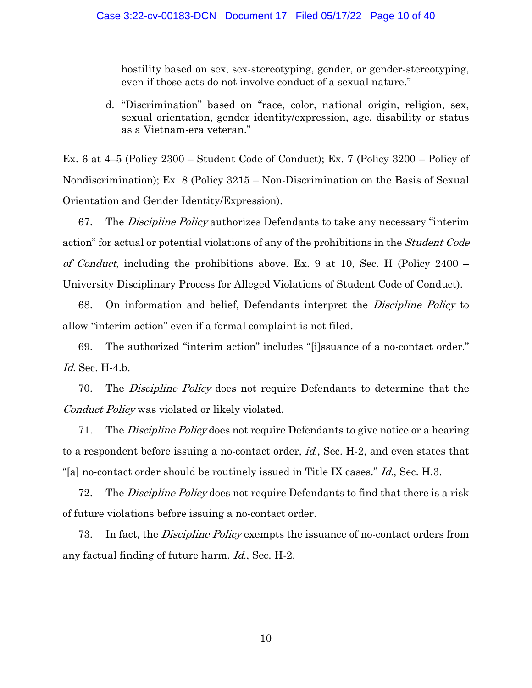hostility based on sex, sex-stereotyping, gender, or gender-stereotyping, even if those acts do not involve conduct of a sexual nature."

d. "Discrimination" based on "race, color, national origin, religion, sex, sexual orientation, gender identity/expression, age, disability or status as a Vietnam-era veteran."

Ex. 6 at 4–5 (Policy 2300 – Student Code of Conduct); Ex. 7 (Policy 3200 – Policy of Nondiscrimination); Ex. 8 (Policy 3215 – Non-Discrimination on the Basis of Sexual Orientation and Gender Identity/Expression).

67. The *Discipline Policy* authorizes Defendants to take any necessary "interim" action" for actual or potential violations of any of the prohibitions in the Student Code of Conduct, including the prohibitions above. Ex. 9 at 10, Sec. H (Policy 2400 – University Disciplinary Process for Alleged Violations of Student Code of Conduct).

68. On information and belief, Defendants interpret the Discipline Policy to allow "interim action" even if a formal complaint is not filed.

69. The authorized "interim action" includes "[i]ssuance of a no-contact order." Id. Sec. H-4.b.

70. The Discipline Policy does not require Defendants to determine that the Conduct Policy was violated or likely violated.

71. The *Discipline Policy* does not require Defendants to give notice or a hearing to a respondent before issuing a no-contact order, *id.*, Sec. H-2, and even states that "[a] no-contact order should be routinely issued in Title IX cases." *Id.*, Sec. H.3.

72. The Discipline Policy does not require Defendants to find that there is a risk of future violations before issuing a no-contact order.

73. In fact, the *Discipline Policy* exempts the issuance of no-contact orders from any factual finding of future harm. Id., Sec. H-2.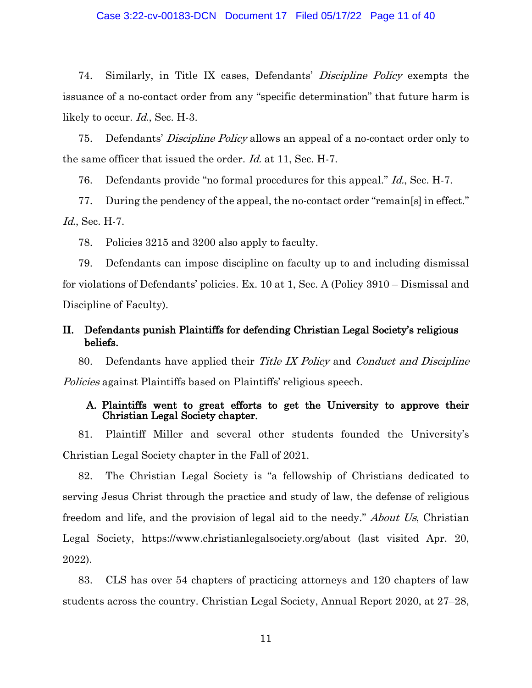# Case 3:22-cv-00183-DCN Document 17 Filed 05/17/22 Page 11 of 40

74. Similarly, in Title IX cases, Defendants' Discipline Policy exempts the issuance of a no-contact order from any "specific determination" that future harm is likely to occur. *Id.*, Sec. H-3.

75. Defendants' Discipline Policy allows an appeal of a no-contact order only to the same officer that issued the order. *Id.* at 11, Sec. H-7.

76. Defendants provide "no formal procedures for this appeal." Id., Sec. H-7.

77. During the pendency of the appeal, the no-contact order "remain[s] in effect." *Id.*, Sec. H-7.

78. Policies 3215 and 3200 also apply to faculty.

79. Defendants can impose discipline on faculty up to and including dismissal for violations of Defendants' policies. Ex. 10 at 1, Sec. A (Policy 3910 – Dismissal and Discipline of Faculty).

# II. Defendants punish Plaintiffs for defending Christian Legal Society's religious beliefs.

80. Defendants have applied their Title IX Policy and Conduct and Discipline Policies against Plaintiffs based on Plaintiffs' religious speech.

# A. Plaintiffs went to great efforts to get the University to approve their Christian Legal Society chapter.

81. Plaintiff Miller and several other students founded the University's Christian Legal Society chapter in the Fall of 2021.

82. The Christian Legal Society is "a fellowship of Christians dedicated to serving Jesus Christ through the practice and study of law, the defense of religious freedom and life, and the provision of legal aid to the needy." About Us, Christian Legal Society, https://www.christianlegalsociety.org/about (last visited Apr. 20, 2022).

83. CLS has over 54 chapters of practicing attorneys and 120 chapters of law students across the country. Christian Legal Society, Annual Report 2020, at 27–28,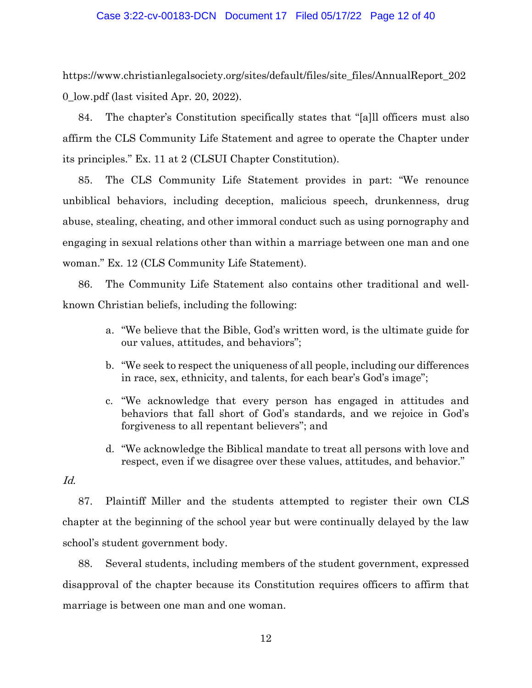# Case 3:22-cv-00183-DCN Document 17 Filed 05/17/22 Page 12 of 40

https://www.christianlegalsociety.org/sites/default/files/site\_files/AnnualReport\_202 0\_low.pdf (last visited Apr. 20, 2022).

84. The chapter's Constitution specifically states that "[a]ll officers must also affirm the CLS Community Life Statement and agree to operate the Chapter under its principles." Ex. 11 at 2 (CLSUI Chapter Constitution).

85. The CLS Community Life Statement provides in part: "We renounce unbiblical behaviors, including deception, malicious speech, drunkenness, drug abuse, stealing, cheating, and other immoral conduct such as using pornography and engaging in sexual relations other than within a marriage between one man and one woman." Ex. 12 (CLS Community Life Statement).

86. The Community Life Statement also contains other traditional and wellknown Christian beliefs, including the following:

- a. "We believe that the Bible, God's written word, is the ultimate guide for our values, attitudes, and behaviors";
- b. "We seek to respect the uniqueness of all people, including our differences in race, sex, ethnicity, and talents, for each bear's God's image";
- c. "We acknowledge that every person has engaged in attitudes and behaviors that fall short of God's standards, and we rejoice in God's forgiveness to all repentant believers"; and
- d. "We acknowledge the Biblical mandate to treat all persons with love and respect, even if we disagree over these values, attitudes, and behavior."

Id.

87. Plaintiff Miller and the students attempted to register their own CLS chapter at the beginning of the school year but were continually delayed by the law school's student government body.

88. Several students, including members of the student government, expressed disapproval of the chapter because its Constitution requires officers to affirm that marriage is between one man and one woman.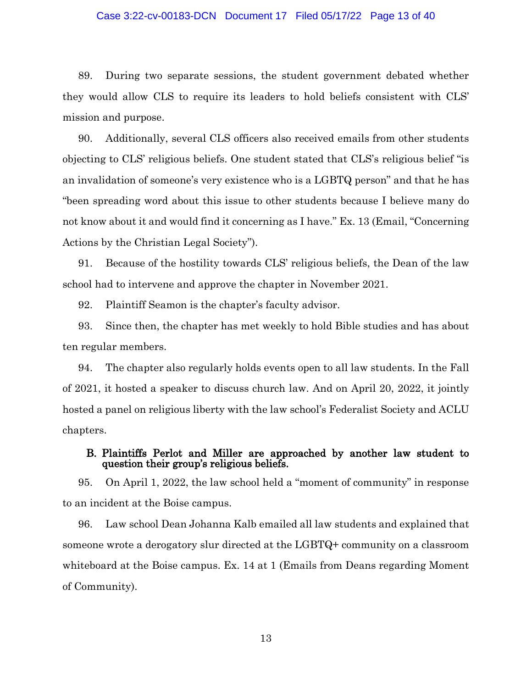# Case 3:22-cv-00183-DCN Document 17 Filed 05/17/22 Page 13 of 40

89. During two separate sessions, the student government debated whether they would allow CLS to require its leaders to hold beliefs consistent with CLS' mission and purpose.

90. Additionally, several CLS officers also received emails from other students objecting to CLS' religious beliefs. One student stated that CLS's religious belief "is an invalidation of someone's very existence who is a LGBTQ person" and that he has "been spreading word about this issue to other students because I believe many do not know about it and would find it concerning as I have." Ex. 13 (Email, "Concerning Actions by the Christian Legal Society").

91. Because of the hostility towards CLS' religious beliefs, the Dean of the law school had to intervene and approve the chapter in November 2021.

92. Plaintiff Seamon is the chapter's faculty advisor.

93. Since then, the chapter has met weekly to hold Bible studies and has about ten regular members.

94. The chapter also regularly holds events open to all law students. In the Fall of 2021, it hosted a speaker to discuss church law. And on April 20, 2022, it jointly hosted a panel on religious liberty with the law school's Federalist Society and ACLU chapters.

# B. Plaintiffs Perlot and Miller are approached by another law student to question their group's religious beliefs.

95. On April 1, 2022, the law school held a "moment of community" in response to an incident at the Boise campus.

96. Law school Dean Johanna Kalb emailed all law students and explained that someone wrote a derogatory slur directed at the LGBTQ+ community on a classroom whiteboard at the Boise campus. Ex. 14 at 1 (Emails from Deans regarding Moment of Community).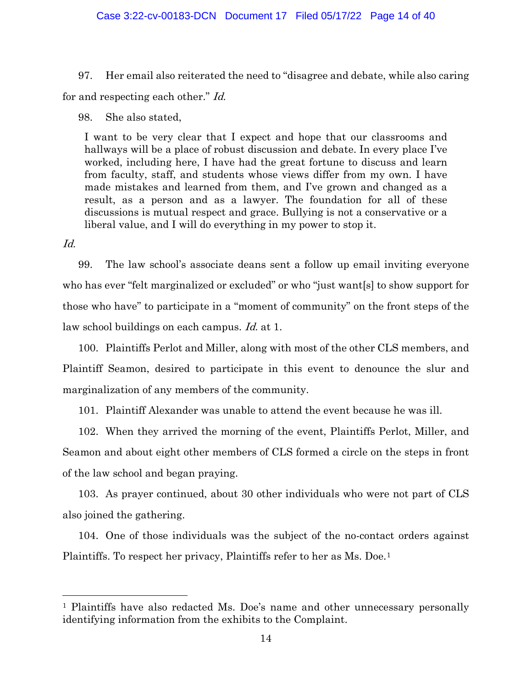97. Her email also reiterated the need to "disagree and debate, while also caring for and respecting each other." Id.

98. She also stated,

I want to be very clear that I expect and hope that our classrooms and hallways will be a place of robust discussion and debate. In every place I've worked, including here, I have had the great fortune to discuss and learn from faculty, staff, and students whose views differ from my own. I have made mistakes and learned from them, and I've grown and changed as a result, as a person and as a lawyer. The foundation for all of these discussions is mutual respect and grace. Bullying is not a conservative or a liberal value, and I will do everything in my power to stop it.

Id.

99. The law school's associate deans sent a follow up email inviting everyone who has ever "felt marginalized or excluded" or who "just want[s] to show support for those who have" to participate in a "moment of community" on the front steps of the law school buildings on each campus. Id. at 1.

100. Plaintiffs Perlot and Miller, along with most of the other CLS members, and Plaintiff Seamon, desired to participate in this event to denounce the slur and marginalization of any members of the community.

101. Plaintiff Alexander was unable to attend the event because he was ill.

102. When they arrived the morning of the event, Plaintiffs Perlot, Miller, and Seamon and about eight other members of CLS formed a circle on the steps in front of the law school and began praying.

103. As prayer continued, about 30 other individuals who were not part of CLS also joined the gathering.

104. One of those individuals was the subject of the no-contact orders against Plaintiffs. To respect her privacy, Plaintiffs refer to her as Ms. Doe.<sup>1</sup>

<sup>1</sup> Plaintiffs have also redacted Ms. Doe's name and other unnecessary personally identifying information from the exhibits to the Complaint.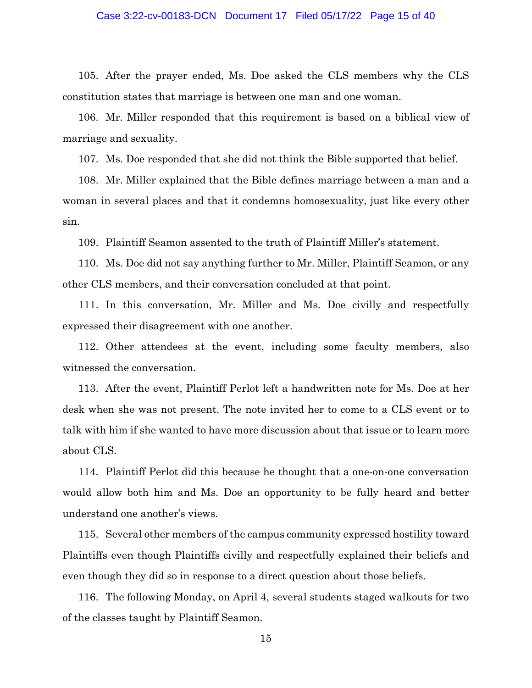# Case 3:22-cv-00183-DCN Document 17 Filed 05/17/22 Page 15 of 40

105. After the prayer ended, Ms. Doe asked the CLS members why the CLS constitution states that marriage is between one man and one woman.

106. Mr. Miller responded that this requirement is based on a biblical view of marriage and sexuality.

107. Ms. Doe responded that she did not think the Bible supported that belief.

108. Mr. Miller explained that the Bible defines marriage between a man and a woman in several places and that it condemns homosexuality, just like every other sin.

109. Plaintiff Seamon assented to the truth of Plaintiff Miller's statement.

110. Ms. Doe did not say anything further to Mr. Miller, Plaintiff Seamon, or any other CLS members, and their conversation concluded at that point.

111. In this conversation, Mr. Miller and Ms. Doe civilly and respectfully expressed their disagreement with one another.

112. Other attendees at the event, including some faculty members, also witnessed the conversation.

113. After the event, Plaintiff Perlot left a handwritten note for Ms. Doe at her desk when she was not present. The note invited her to come to a CLS event or to talk with him if she wanted to have more discussion about that issue or to learn more about CLS.

114. Plaintiff Perlot did this because he thought that a one-on-one conversation would allow both him and Ms. Doe an opportunity to be fully heard and better understand one another's views.

115. Several other members of the campus community expressed hostility toward Plaintiffs even though Plaintiffs civilly and respectfully explained their beliefs and even though they did so in response to a direct question about those beliefs.

116. The following Monday, on April 4, several students staged walkouts for two of the classes taught by Plaintiff Seamon.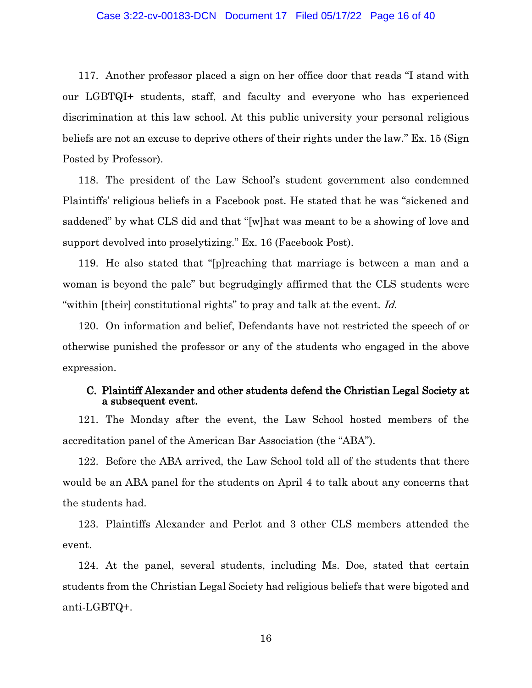## Case 3:22-cv-00183-DCN Document 17 Filed 05/17/22 Page 16 of 40

117. Another professor placed a sign on her office door that reads "I stand with our LGBTQI+ students, staff, and faculty and everyone who has experienced discrimination at this law school. At this public university your personal religious beliefs are not an excuse to deprive others of their rights under the law." Ex. 15 (Sign Posted by Professor).

118. The president of the Law School's student government also condemned Plaintiffs' religious beliefs in a Facebook post. He stated that he was "sickened and saddened" by what CLS did and that "[w]hat was meant to be a showing of love and support devolved into proselytizing." Ex. 16 (Facebook Post).

119. He also stated that "[p]reaching that marriage is between a man and a woman is beyond the pale" but begrudgingly affirmed that the CLS students were "within [their] constitutional rights" to pray and talk at the event. Id.

120. On information and belief, Defendants have not restricted the speech of or otherwise punished the professor or any of the students who engaged in the above expression.

# C. Plaintiff Alexander and other students defend the Christian Legal Society at a subsequent event.

121. The Monday after the event, the Law School hosted members of the accreditation panel of the American Bar Association (the "ABA").

122. Before the ABA arrived, the Law School told all of the students that there would be an ABA panel for the students on April 4 to talk about any concerns that the students had.

123. Plaintiffs Alexander and Perlot and 3 other CLS members attended the event.

124. At the panel, several students, including Ms. Doe, stated that certain students from the Christian Legal Society had religious beliefs that were bigoted and anti-LGBTQ+.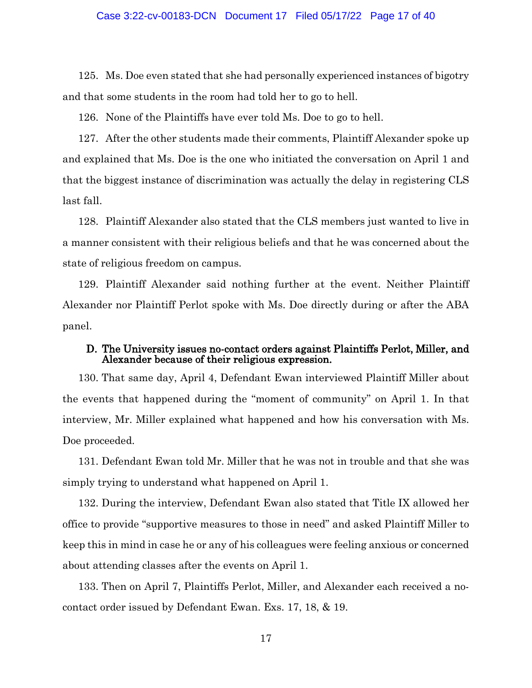#### Case 3:22-cv-00183-DCN Document 17 Filed 05/17/22 Page 17 of 40

125. Ms. Doe even stated that she had personally experienced instances of bigotry and that some students in the room had told her to go to hell.

126. None of the Plaintiffs have ever told Ms. Doe to go to hell.

127. After the other students made their comments, Plaintiff Alexander spoke up and explained that Ms. Doe is the one who initiated the conversation on April 1 and that the biggest instance of discrimination was actually the delay in registering CLS last fall.

128. Plaintiff Alexander also stated that the CLS members just wanted to live in a manner consistent with their religious beliefs and that he was concerned about the state of religious freedom on campus.

129. Plaintiff Alexander said nothing further at the event. Neither Plaintiff Alexander nor Plaintiff Perlot spoke with Ms. Doe directly during or after the ABA panel.

# D. The University issues no-contact orders against Plaintiffs Perlot, Miller, and Alexander because of their religious expression.

130. That same day, April 4, Defendant Ewan interviewed Plaintiff Miller about the events that happened during the "moment of community" on April 1. In that interview, Mr. Miller explained what happened and how his conversation with Ms. Doe proceeded.

131. Defendant Ewan told Mr. Miller that he was not in trouble and that she was simply trying to understand what happened on April 1.

132. During the interview, Defendant Ewan also stated that Title IX allowed her office to provide "supportive measures to those in need" and asked Plaintiff Miller to keep this in mind in case he or any of his colleagues were feeling anxious or concerned about attending classes after the events on April 1.

133. Then on April 7, Plaintiffs Perlot, Miller, and Alexander each received a nocontact order issued by Defendant Ewan. Exs. 17, 18, & 19.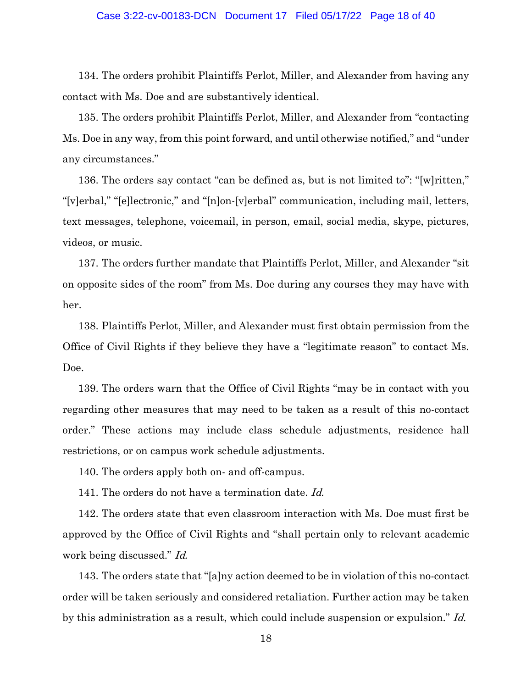#### Case 3:22-cv-00183-DCN Document 17 Filed 05/17/22 Page 18 of 40

134. The orders prohibit Plaintiffs Perlot, Miller, and Alexander from having any contact with Ms. Doe and are substantively identical.

135. The orders prohibit Plaintiffs Perlot, Miller, and Alexander from "contacting Ms. Doe in any way, from this point forward, and until otherwise notified," and "under any circumstances."

136. The orders say contact "can be defined as, but is not limited to": "[w]ritten," "[v]erbal," "[e]lectronic," and "[n]on-[v]erbal" communication, including mail, letters, text messages, telephone, voicemail, in person, email, social media, skype, pictures, videos, or music.

137. The orders further mandate that Plaintiffs Perlot, Miller, and Alexander "sit on opposite sides of the room" from Ms. Doe during any courses they may have with her.

138. Plaintiffs Perlot, Miller, and Alexander must first obtain permission from the Office of Civil Rights if they believe they have a "legitimate reason" to contact Ms. Doe.

139. The orders warn that the Office of Civil Rights "may be in contact with you regarding other measures that may need to be taken as a result of this no-contact order." These actions may include class schedule adjustments, residence hall restrictions, or on campus work schedule adjustments.

140. The orders apply both on- and off-campus.

141. The orders do not have a termination date. Id.

142. The orders state that even classroom interaction with Ms. Doe must first be approved by the Office of Civil Rights and "shall pertain only to relevant academic work being discussed." Id.

143. The orders state that "[a]ny action deemed to be in violation of this no-contact order will be taken seriously and considered retaliation. Further action may be taken by this administration as a result, which could include suspension or expulsion." Id.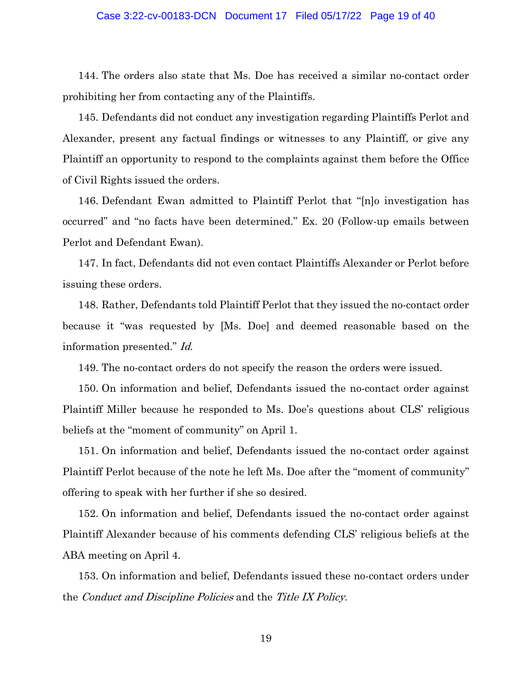#### Case 3:22-cv-00183-DCN Document 17 Filed 05/17/22 Page 19 of 40

144. The orders also state that Ms. Doe has received a similar no-contact order prohibiting her from contacting any of the Plaintiffs.

145. Defendants did not conduct any investigation regarding Plaintiffs Perlot and Alexander, present any factual findings or witnesses to any Plaintiff, or give any Plaintiff an opportunity to respond to the complaints against them before the Office of Civil Rights issued the orders.

146. Defendant Ewan admitted to Plaintiff Perlot that "[n]o investigation has occurred" and "no facts have been determined." Ex. 20 (Follow-up emails between Perlot and Defendant Ewan).

147. In fact, Defendants did not even contact Plaintiffs Alexander or Perlot before issuing these orders.

148. Rather, Defendants told Plaintiff Perlot that they issued the no-contact order because it "was requested by [Ms. Doe] and deemed reasonable based on the information presented." Id.

149. The no-contact orders do not specify the reason the orders were issued.

150. On information and belief, Defendants issued the no-contact order against Plaintiff Miller because he responded to Ms. Doe's questions about CLS' religious beliefs at the "moment of community" on April 1.

151. On information and belief, Defendants issued the no-contact order against Plaintiff Perlot because of the note he left Ms. Doe after the "moment of community" offering to speak with her further if she so desired.

152. On information and belief, Defendants issued the no-contact order against Plaintiff Alexander because of his comments defending CLS' religious beliefs at the ABA meeting on April 4.

153. On information and belief, Defendants issued these no-contact orders under the Conduct and Discipline Policies and the Title IX Policy.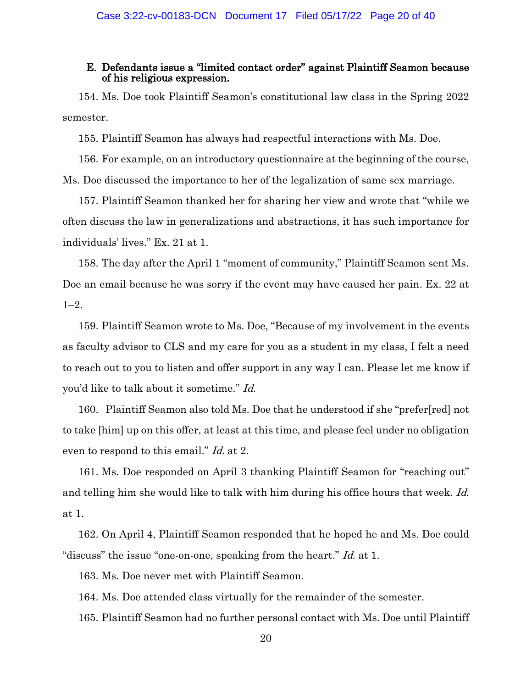# E. Defendants issue a "limited contact order" against Plaintiff Seamon because of his religious expression.

154. Ms. Doe took Plaintiff Seamon's constitutional law class in the Spring 2022 semester.

155. Plaintiff Seamon has always had respectful interactions with Ms. Doe.

156. For example, on an introductory questionnaire at the beginning of the course, Ms. Doe discussed the importance to her of the legalization of same sex marriage.

157. Plaintiff Seamon thanked her for sharing her view and wrote that "while we often discuss the law in generalizations and abstractions, it has such importance for individuals' lives." Ex. 21 at 1.

158. The day after the April 1 "moment of community," Plaintiff Seamon sent Ms. Doe an email because he was sorry if the event may have caused her pain. Ex. 22 at 1–2.

159. Plaintiff Seamon wrote to Ms. Doe, "Because of my involvement in the events as faculty advisor to CLS and my care for you as a student in my class, I felt a need to reach out to you to listen and offer support in any way I can. Please let me know if you'd like to talk about it sometime." Id.

160. Plaintiff Seamon also told Ms. Doe that he understood if she "prefer[red] not to take [him] up on this offer, at least at this time, and please feel under no obligation even to respond to this email." Id. at 2.

161. Ms. Doe responded on April 3 thanking Plaintiff Seamon for "reaching out" and telling him she would like to talk with him during his office hours that week. Id. at 1.

162. On April 4, Plaintiff Seamon responded that he hoped he and Ms. Doe could "discuss" the issue "one-on-one, speaking from the heart." Id. at 1.

163. Ms. Doe never met with Plaintiff Seamon.

164. Ms. Doe attended class virtually for the remainder of the semester.

165. Plaintiff Seamon had no further personal contact with Ms. Doe until Plaintiff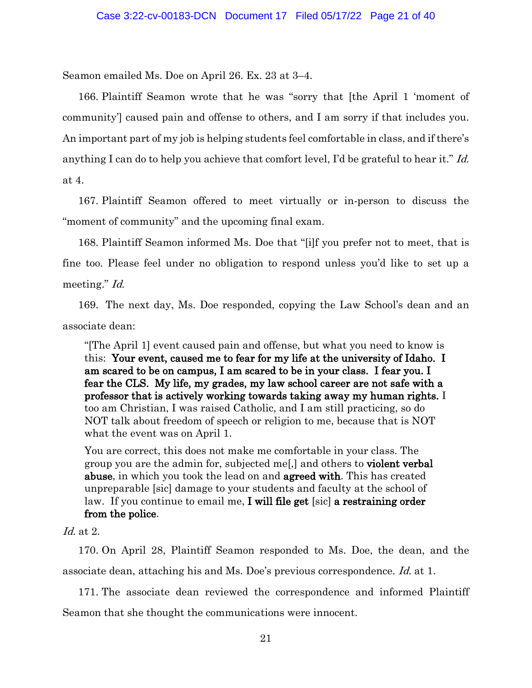Seamon emailed Ms. Doe on April 26. Ex. 23 at 3–4.

166. Plaintiff Seamon wrote that he was "sorry that [the April 1 'moment of community'] caused pain and offense to others, and I am sorry if that includes you. An important part of my job is helping students feel comfortable in class, and if there's anything I can do to help you achieve that comfort level, I'd be grateful to hear it." Id. at 4.

167. Plaintiff Seamon offered to meet virtually or in-person to discuss the "moment of community" and the upcoming final exam.

168. Plaintiff Seamon informed Ms. Doe that "[i]f you prefer not to meet, that is fine too. Please feel under no obligation to respond unless you'd like to set up a meeting." Id.

169. The next day, Ms. Doe responded, copying the Law School's dean and an associate dean:

"[The April 1] event caused pain and offense, but what you need to know is this: Your event, caused me to fear for my life at the university of Idaho. I am scared to be on campus, I am scared to be in your class. I fear you. I fear the CLS. My life, my grades, my law school career are not safe with a professor that is actively working towards taking away my human rights. I too am Christian, I was raised Catholic, and I am still practicing, so do NOT talk about freedom of speech or religion to me, because that is NOT what the event was on April 1.

You are correct, this does not make me comfortable in your class. The group you are the admin for, subjected me[,] and others to violent verbal abuse, in which you took the lead on and agreed with. This has created unpreparable [sic] damage to your students and faculty at the school of law. If you continue to email me, I will file get [sic] a restraining order from the police.

Id. at 2.

170. On April 28, Plaintiff Seamon responded to Ms. Doe, the dean, and the associate dean, attaching his and Ms. Doe's previous correspondence. Id. at 1.

171. The associate dean reviewed the correspondence and informed Plaintiff Seamon that she thought the communications were innocent.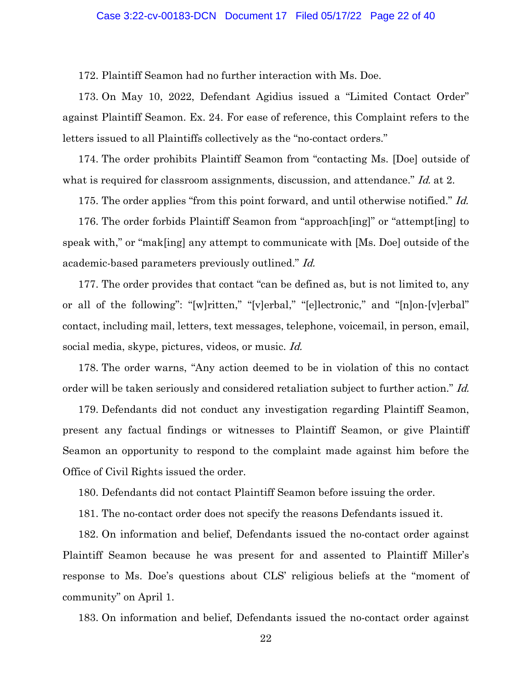#### Case 3:22-cv-00183-DCN Document 17 Filed 05/17/22 Page 22 of 40

172. Plaintiff Seamon had no further interaction with Ms. Doe.

173. On May 10, 2022, Defendant Agidius issued a "Limited Contact Order" against Plaintiff Seamon. Ex. 24. For ease of reference, this Complaint refers to the letters issued to all Plaintiffs collectively as the "no-contact orders."

174. The order prohibits Plaintiff Seamon from "contacting Ms. [Doe] outside of what is required for classroom assignments, discussion, and attendance." Id. at 2.

175. The order applies "from this point forward, and until otherwise notified." *Id.* 

176. The order forbids Plaintiff Seamon from "approach[ing]" or "attempt[ing] to speak with," or "mak[ing] any attempt to communicate with [Ms. Doe] outside of the academic-based parameters previously outlined." Id.

177. The order provides that contact "can be defined as, but is not limited to, any or all of the following": "[w]ritten," "[v]erbal," "[e]lectronic," and "[n]on-[v]erbal" contact, including mail, letters, text messages, telephone, voicemail, in person, email, social media, skype, pictures, videos, or music. Id.

178. The order warns, "Any action deemed to be in violation of this no contact order will be taken seriously and considered retaliation subject to further action." Id.

179. Defendants did not conduct any investigation regarding Plaintiff Seamon, present any factual findings or witnesses to Plaintiff Seamon, or give Plaintiff Seamon an opportunity to respond to the complaint made against him before the Office of Civil Rights issued the order.

180. Defendants did not contact Plaintiff Seamon before issuing the order.

181. The no-contact order does not specify the reasons Defendants issued it.

182. On information and belief, Defendants issued the no-contact order against Plaintiff Seamon because he was present for and assented to Plaintiff Miller's response to Ms. Doe's questions about CLS' religious beliefs at the "moment of community" on April 1.

183. On information and belief, Defendants issued the no-contact order against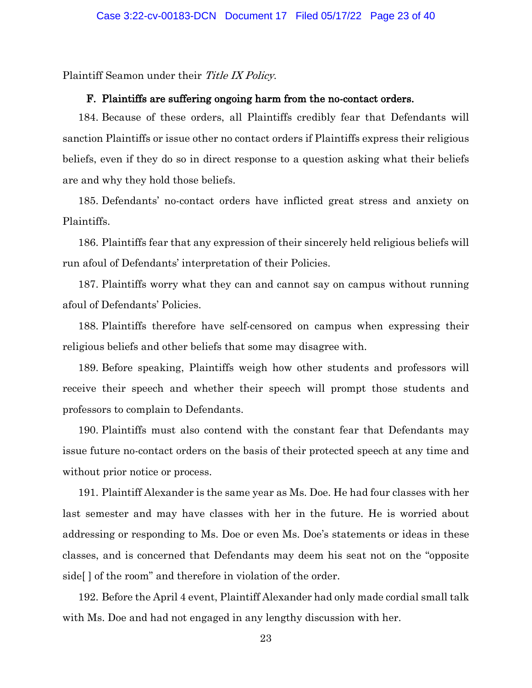Plaintiff Seamon under their Title IX Policy.

# F. Plaintiffs are suffering ongoing harm from the no-contact orders.

184. Because of these orders, all Plaintiffs credibly fear that Defendants will sanction Plaintiffs or issue other no contact orders if Plaintiffs express their religious beliefs, even if they do so in direct response to a question asking what their beliefs are and why they hold those beliefs.

185. Defendants' no-contact orders have inflicted great stress and anxiety on Plaintiffs.

186. Plaintiffs fear that any expression of their sincerely held religious beliefs will run afoul of Defendants' interpretation of their Policies.

187. Plaintiffs worry what they can and cannot say on campus without running afoul of Defendants' Policies.

188. Plaintiffs therefore have self-censored on campus when expressing their religious beliefs and other beliefs that some may disagree with.

189. Before speaking, Plaintiffs weigh how other students and professors will receive their speech and whether their speech will prompt those students and professors to complain to Defendants.

190. Plaintiffs must also contend with the constant fear that Defendants may issue future no-contact orders on the basis of their protected speech at any time and without prior notice or process.

191. Plaintiff Alexander is the same year as Ms. Doe. He had four classes with her last semester and may have classes with her in the future. He is worried about addressing or responding to Ms. Doe or even Ms. Doe's statements or ideas in these classes, and is concerned that Defendants may deem his seat not on the "opposite side[ ] of the room" and therefore in violation of the order.

192. Before the April 4 event, Plaintiff Alexander had only made cordial small talk with Ms. Doe and had not engaged in any lengthy discussion with her.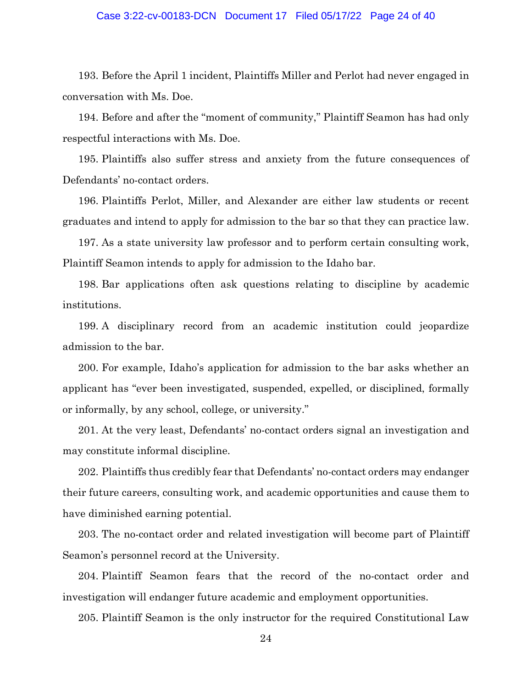# Case 3:22-cv-00183-DCN Document 17 Filed 05/17/22 Page 24 of 40

193. Before the April 1 incident, Plaintiffs Miller and Perlot had never engaged in conversation with Ms. Doe.

194. Before and after the "moment of community," Plaintiff Seamon has had only respectful interactions with Ms. Doe.

195. Plaintiffs also suffer stress and anxiety from the future consequences of Defendants' no-contact orders.

196. Plaintiffs Perlot, Miller, and Alexander are either law students or recent graduates and intend to apply for admission to the bar so that they can practice law.

197. As a state university law professor and to perform certain consulting work, Plaintiff Seamon intends to apply for admission to the Idaho bar.

198. Bar applications often ask questions relating to discipline by academic institutions.

199. A disciplinary record from an academic institution could jeopardize admission to the bar.

200. For example, Idaho's application for admission to the bar asks whether an applicant has "ever been investigated, suspended, expelled, or disciplined, formally or informally, by any school, college, or university."

201. At the very least, Defendants' no-contact orders signal an investigation and may constitute informal discipline.

202. Plaintiffs thus credibly fear that Defendants' no-contact orders may endanger their future careers, consulting work, and academic opportunities and cause them to have diminished earning potential.

203. The no-contact order and related investigation will become part of Plaintiff Seamon's personnel record at the University.

204. Plaintiff Seamon fears that the record of the no-contact order and investigation will endanger future academic and employment opportunities.

205. Plaintiff Seamon is the only instructor for the required Constitutional Law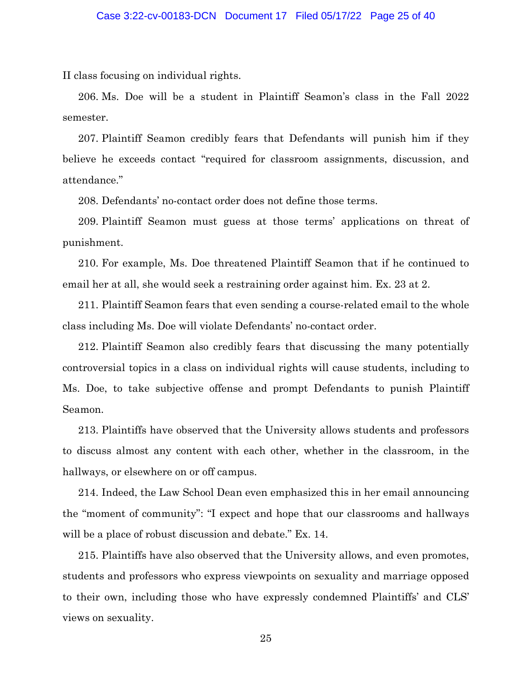II class focusing on individual rights.

206. Ms. Doe will be a student in Plaintiff Seamon's class in the Fall 2022 semester.

207. Plaintiff Seamon credibly fears that Defendants will punish him if they believe he exceeds contact "required for classroom assignments, discussion, and attendance."

208. Defendants' no-contact order does not define those terms.

209. Plaintiff Seamon must guess at those terms' applications on threat of punishment.

210. For example, Ms. Doe threatened Plaintiff Seamon that if he continued to email her at all, she would seek a restraining order against him. Ex. 23 at 2.

211. Plaintiff Seamon fears that even sending a course-related email to the whole class including Ms. Doe will violate Defendants' no-contact order.

212. Plaintiff Seamon also credibly fears that discussing the many potentially controversial topics in a class on individual rights will cause students, including to Ms. Doe, to take subjective offense and prompt Defendants to punish Plaintiff Seamon.

213. Plaintiffs have observed that the University allows students and professors to discuss almost any content with each other, whether in the classroom, in the hallways, or elsewhere on or off campus.

214. Indeed, the Law School Dean even emphasized this in her email announcing the "moment of community": "I expect and hope that our classrooms and hallways will be a place of robust discussion and debate." Ex. 14.

215. Plaintiffs have also observed that the University allows, and even promotes, students and professors who express viewpoints on sexuality and marriage opposed to their own, including those who have expressly condemned Plaintiffs' and CLS' views on sexuality.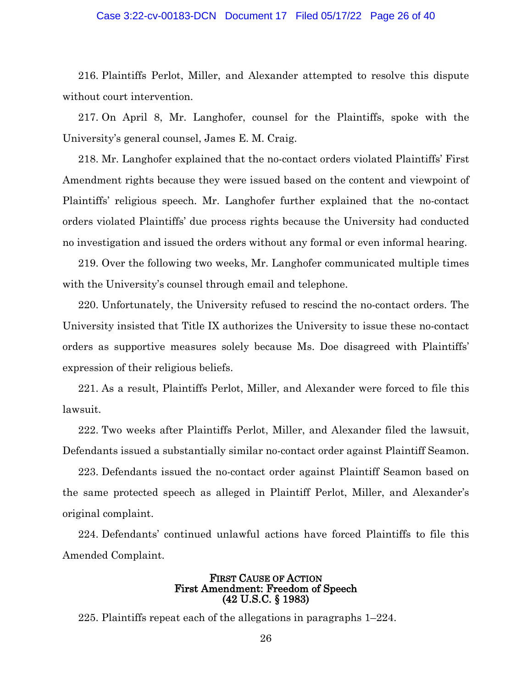# Case 3:22-cv-00183-DCN Document 17 Filed 05/17/22 Page 26 of 40

216. Plaintiffs Perlot, Miller, and Alexander attempted to resolve this dispute without court intervention.

217. On April 8, Mr. Langhofer, counsel for the Plaintiffs, spoke with the University's general counsel, James E. M. Craig.

218. Mr. Langhofer explained that the no-contact orders violated Plaintiffs' First Amendment rights because they were issued based on the content and viewpoint of Plaintiffs' religious speech. Mr. Langhofer further explained that the no-contact orders violated Plaintiffs' due process rights because the University had conducted no investigation and issued the orders without any formal or even informal hearing.

219. Over the following two weeks, Mr. Langhofer communicated multiple times with the University's counsel through email and telephone.

220. Unfortunately, the University refused to rescind the no-contact orders. The University insisted that Title IX authorizes the University to issue these no-contact orders as supportive measures solely because Ms. Doe disagreed with Plaintiffs' expression of their religious beliefs.

221. As a result, Plaintiffs Perlot, Miller, and Alexander were forced to file this lawsuit.

222. Two weeks after Plaintiffs Perlot, Miller, and Alexander filed the lawsuit, Defendants issued a substantially similar no-contact order against Plaintiff Seamon.

223. Defendants issued the no-contact order against Plaintiff Seamon based on the same protected speech as alleged in Plaintiff Perlot, Miller, and Alexander's original complaint.

224. Defendants' continued unlawful actions have forced Plaintiffs to file this Amended Complaint.

# FIRST CAUSE OF ACTION First Amendment: Freedom of Speech (42 U.S.C. § 1983)

225. Plaintiffs repeat each of the allegations in paragraphs 1–224.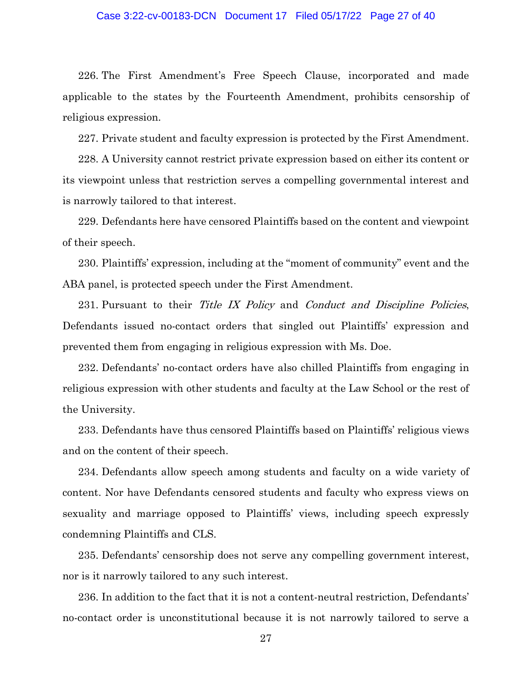# Case 3:22-cv-00183-DCN Document 17 Filed 05/17/22 Page 27 of 40

226. The First Amendment's Free Speech Clause, incorporated and made applicable to the states by the Fourteenth Amendment, prohibits censorship of religious expression.

227. Private student and faculty expression is protected by the First Amendment.

228. A University cannot restrict private expression based on either its content or its viewpoint unless that restriction serves a compelling governmental interest and is narrowly tailored to that interest.

229. Defendants here have censored Plaintiffs based on the content and viewpoint of their speech.

230. Plaintiffs' expression, including at the "moment of community" event and the ABA panel, is protected speech under the First Amendment.

231. Pursuant to their Title IX Policy and Conduct and Discipline Policies, Defendants issued no-contact orders that singled out Plaintiffs' expression and prevented them from engaging in religious expression with Ms. Doe.

232. Defendants' no-contact orders have also chilled Plaintiffs from engaging in religious expression with other students and faculty at the Law School or the rest of the University.

233. Defendants have thus censored Plaintiffs based on Plaintiffs' religious views and on the content of their speech.

234. Defendants allow speech among students and faculty on a wide variety of content. Nor have Defendants censored students and faculty who express views on sexuality and marriage opposed to Plaintiffs' views, including speech expressly condemning Plaintiffs and CLS.

235. Defendants' censorship does not serve any compelling government interest, nor is it narrowly tailored to any such interest.

236. In addition to the fact that it is not a content-neutral restriction, Defendants' no-contact order is unconstitutional because it is not narrowly tailored to serve a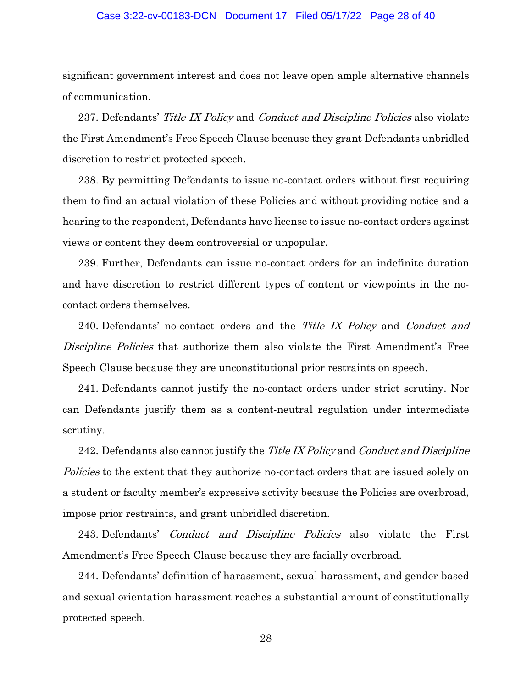# Case 3:22-cv-00183-DCN Document 17 Filed 05/17/22 Page 28 of 40

significant government interest and does not leave open ample alternative channels of communication.

237. Defendants' Title IX Policy and Conduct and Discipline Policies also violate the First Amendment's Free Speech Clause because they grant Defendants unbridled discretion to restrict protected speech.

238. By permitting Defendants to issue no-contact orders without first requiring them to find an actual violation of these Policies and without providing notice and a hearing to the respondent, Defendants have license to issue no-contact orders against views or content they deem controversial or unpopular.

239. Further, Defendants can issue no-contact orders for an indefinite duration and have discretion to restrict different types of content or viewpoints in the nocontact orders themselves.

240. Defendants' no-contact orders and the Title IX Policy and Conduct and Discipline Policies that authorize them also violate the First Amendment's Free Speech Clause because they are unconstitutional prior restraints on speech.

241. Defendants cannot justify the no-contact orders under strict scrutiny. Nor can Defendants justify them as a content-neutral regulation under intermediate scrutiny.

242. Defendants also cannot justify the *Title IX Policy* and *Conduct and Discipline* Policies to the extent that they authorize no-contact orders that are issued solely on a student or faculty member's expressive activity because the Policies are overbroad, impose prior restraints, and grant unbridled discretion.

243. Defendants' Conduct and Discipline Policies also violate the First Amendment's Free Speech Clause because they are facially overbroad.

244. Defendants' definition of harassment, sexual harassment, and gender-based and sexual orientation harassment reaches a substantial amount of constitutionally protected speech.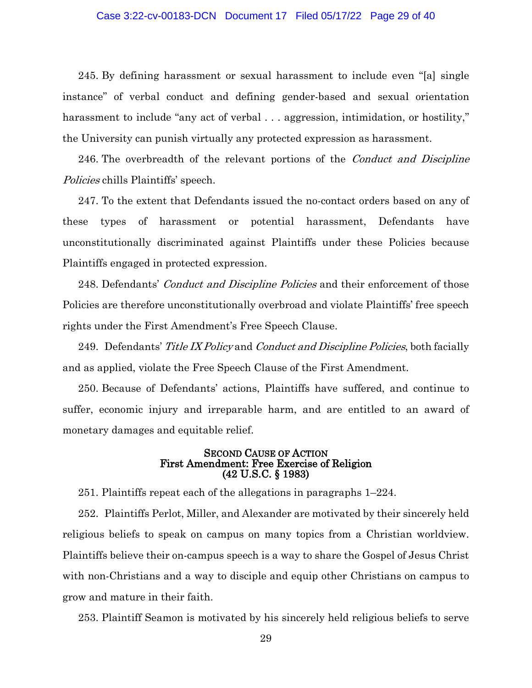### Case 3:22-cv-00183-DCN Document 17 Filed 05/17/22 Page 29 of 40

245. By defining harassment or sexual harassment to include even "[a] single instance" of verbal conduct and defining gender-based and sexual orientation harassment to include "any act of verbal . . . aggression, intimidation, or hostility," the University can punish virtually any protected expression as harassment.

246. The overbreadth of the relevant portions of the *Conduct and Discipline* Policies chills Plaintiffs' speech.

247. To the extent that Defendants issued the no-contact orders based on any of these types of harassment or potential harassment, Defendants have unconstitutionally discriminated against Plaintiffs under these Policies because Plaintiffs engaged in protected expression.

248. Defendants' *Conduct and Discipline Policies* and their enforcement of those Policies are therefore unconstitutionally overbroad and violate Plaintiffs' free speech rights under the First Amendment's Free Speech Clause.

249. Defendants' *Title IX Policy* and *Conduct and Discipline Policies*, both facially and as applied, violate the Free Speech Clause of the First Amendment.

250. Because of Defendants' actions, Plaintiffs have suffered, and continue to suffer, economic injury and irreparable harm, and are entitled to an award of monetary damages and equitable relief.

# SECOND CAUSE OF ACTION<br>First Amendment: Free Exercise of Religion<br>(42 U.S.C. § 1983)

251. Plaintiffs repeat each of the allegations in paragraphs 1–224.

252. Plaintiffs Perlot, Miller, and Alexander are motivated by their sincerely held religious beliefs to speak on campus on many topics from a Christian worldview. Plaintiffs believe their on-campus speech is a way to share the Gospel of Jesus Christ with non-Christians and a way to disciple and equip other Christians on campus to grow and mature in their faith.

253. Plaintiff Seamon is motivated by his sincerely held religious beliefs to serve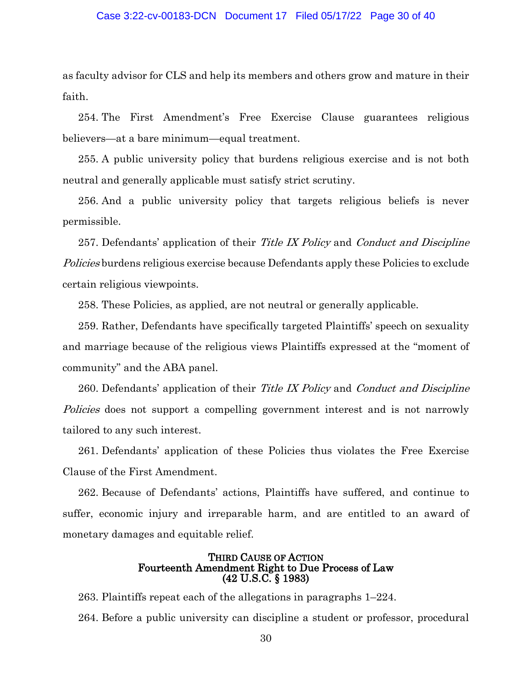#### Case 3:22-cv-00183-DCN Document 17 Filed 05/17/22 Page 30 of 40

as faculty advisor for CLS and help its members and others grow and mature in their faith.

254. The First Amendment's Free Exercise Clause guarantees religious believers—at a bare minimum—equal treatment.

255. A public university policy that burdens religious exercise and is not both neutral and generally applicable must satisfy strict scrutiny.

256. And a public university policy that targets religious beliefs is never permissible.

257. Defendants' application of their Title IX Policy and Conduct and Discipline Policies burdens religious exercise because Defendants apply these Policies to exclude certain religious viewpoints.

258. These Policies, as applied, are not neutral or generally applicable.

259. Rather, Defendants have specifically targeted Plaintiffs' speech on sexuality and marriage because of the religious views Plaintiffs expressed at the "moment of community" and the ABA panel.

260. Defendants' application of their *Title IX Policy* and *Conduct and Discipline Policies* does not support a compelling government interest and is not narrowly tailored to any such interest.

261. Defendants' application of these Policies thus violates the Free Exercise Clause of the First Amendment.

262. Because of Defendants' actions, Plaintiffs have suffered, and continue to suffer, economic injury and irreparable harm, and are entitled to an award of monetary damages and equitable relief.

# THIRD CAUSE OF ACTION Fourteenth Amendment Right to Due Process of Law (42 U.S.C. § 1983)

263. Plaintiffs repeat each of the allegations in paragraphs 1–224.

264. Before a public university can discipline a student or professor, procedural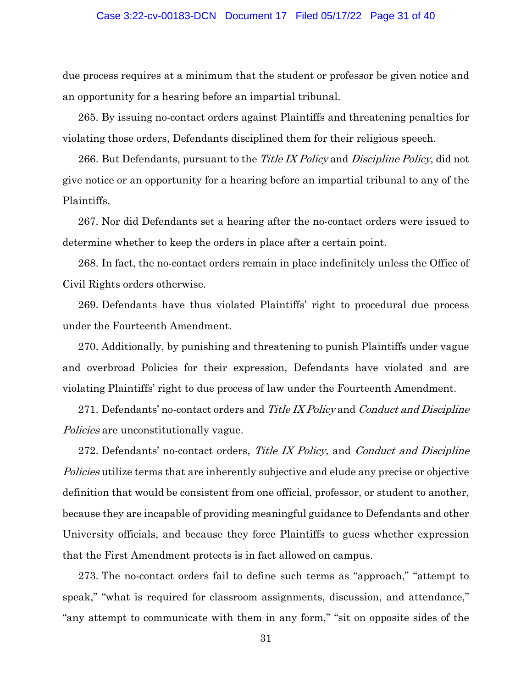#### Case 3:22-cv-00183-DCN Document 17 Filed 05/17/22 Page 31 of 40

due process requires at a minimum that the student or professor be given notice and an opportunity for a hearing before an impartial tribunal.

265. By issuing no-contact orders against Plaintiffs and threatening penalties for violating those orders, Defendants disciplined them for their religious speech.

266. But Defendants, pursuant to the *Title IX Policy* and *Discipline Policy*, did not give notice or an opportunity for a hearing before an impartial tribunal to any of the Plaintiffs.

267. Nor did Defendants set a hearing after the no-contact orders were issued to determine whether to keep the orders in place after a certain point.

268. In fact, the no-contact orders remain in place indefinitely unless the Office of Civil Rights orders otherwise.

269. Defendants have thus violated Plaintiffs' right to procedural due process under the Fourteenth Amendment.

270. Additionally, by punishing and threatening to punish Plaintiffs under vague and overbroad Policies for their expression, Defendants have violated and are violating Plaintiffs' right to due process of law under the Fourteenth Amendment.

271. Defendants' no-contact orders and Title IX Policy and Conduct and Discipline *Policies* are unconstitutionally vague.

272. Defendants' no-contact orders, *Title IX Policy*, and *Conduct and Discipline* Policies utilize terms that are inherently subjective and elude any precise or objective definition that would be consistent from one official, professor, or student to another, because they are incapable of providing meaningful guidance to Defendants and other University officials, and because they force Plaintiffs to guess whether expression that the First Amendment protects is in fact allowed on campus.

273. The no-contact orders fail to define such terms as "approach," "attempt to speak," "what is required for classroom assignments, discussion, and attendance," "any attempt to communicate with them in any form," "sit on opposite sides of the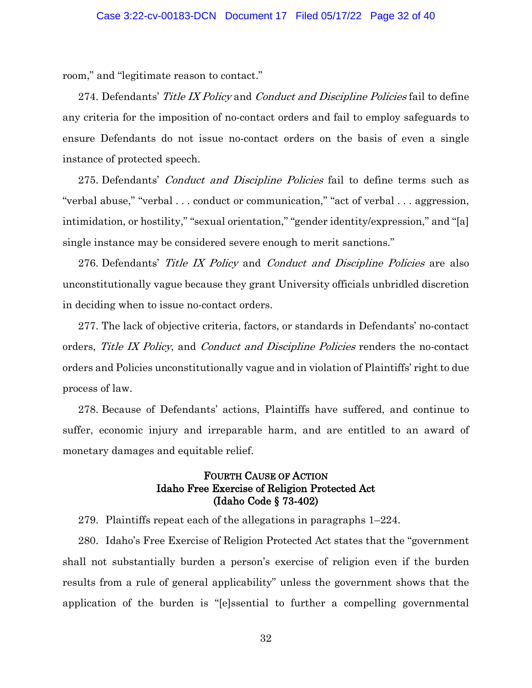room," and "legitimate reason to contact."

274. Defendants' *Title IX Policy* and *Conduct and Discipline Policies* fail to define any criteria for the imposition of no-contact orders and fail to employ safeguards to ensure Defendants do not issue no-contact orders on the basis of even a single instance of protected speech.

275. Defendants' *Conduct and Discipline Policies* fail to define terms such as "verbal abuse," "verbal . . . conduct or communication," "act of verbal . . . aggression, intimidation, or hostility," "sexual orientation," "gender identity/expression," and "[a] single instance may be considered severe enough to merit sanctions."

276. Defendants' Title IX Policy and Conduct and Discipline Policies are also unconstitutionally vague because they grant University officials unbridled discretion in deciding when to issue no-contact orders.

277. The lack of objective criteria, factors, or standards in Defendants' no-contact orders, Title IX Policy, and Conduct and Discipline Policies renders the no-contact orders and Policies unconstitutionally vague and in violation of Plaintiffs' right to due process of law.

278. Because of Defendants' actions, Plaintiffs have suffered, and continue to suffer, economic injury and irreparable harm, and are entitled to an award of monetary damages and equitable relief.

# FOURTH CAUSE OF ACTION Idaho Free Exercise of Religion Protected Act (Idaho Code § 73-402)

279. Plaintiffs repeat each of the allegations in paragraphs 1–224.

280. Idaho's Free Exercise of Religion Protected Act states that the "government shall not substantially burden a person's exercise of religion even if the burden results from a rule of general applicability" unless the government shows that the application of the burden is "[e]ssential to further a compelling governmental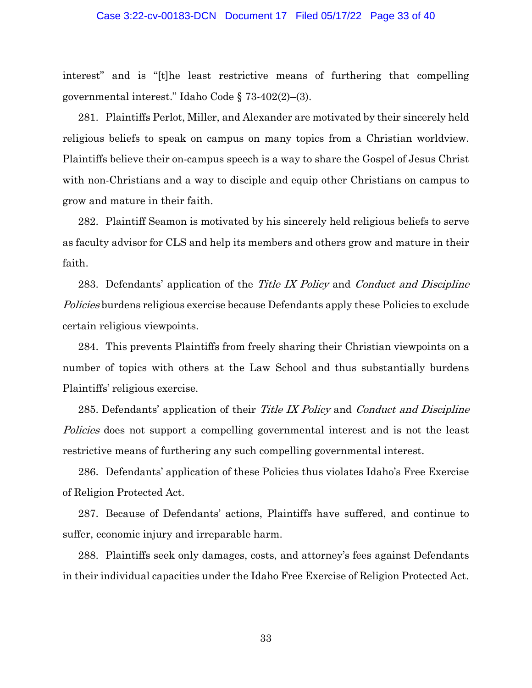#### Case 3:22-cv-00183-DCN Document 17 Filed 05/17/22 Page 33 of 40

interest" and is "[t]he least restrictive means of furthering that compelling governmental interest." Idaho Code § 73-402(2)–(3).

281. Plaintiffs Perlot, Miller, and Alexander are motivated by their sincerely held religious beliefs to speak on campus on many topics from a Christian worldview. Plaintiffs believe their on-campus speech is a way to share the Gospel of Jesus Christ with non-Christians and a way to disciple and equip other Christians on campus to grow and mature in their faith.

282. Plaintiff Seamon is motivated by his sincerely held religious beliefs to serve as faculty advisor for CLS and help its members and others grow and mature in their faith.

283. Defendants' application of the *Title IX Policy* and *Conduct and Discipline* Policies burdens religious exercise because Defendants apply these Policies to exclude certain religious viewpoints.

284. This prevents Plaintiffs from freely sharing their Christian viewpoints on a number of topics with others at the Law School and thus substantially burdens Plaintiffs' religious exercise.

285. Defendants' application of their *Title IX Policy* and *Conduct and Discipline* Policies does not support a compelling governmental interest and is not the least restrictive means of furthering any such compelling governmental interest.

286. Defendants' application of these Policies thus violates Idaho's Free Exercise of Religion Protected Act.

287. Because of Defendants' actions, Plaintiffs have suffered, and continue to suffer, economic injury and irreparable harm.

288. Plaintiffs seek only damages, costs, and attorney's fees against Defendants in their individual capacities under the Idaho Free Exercise of Religion Protected Act.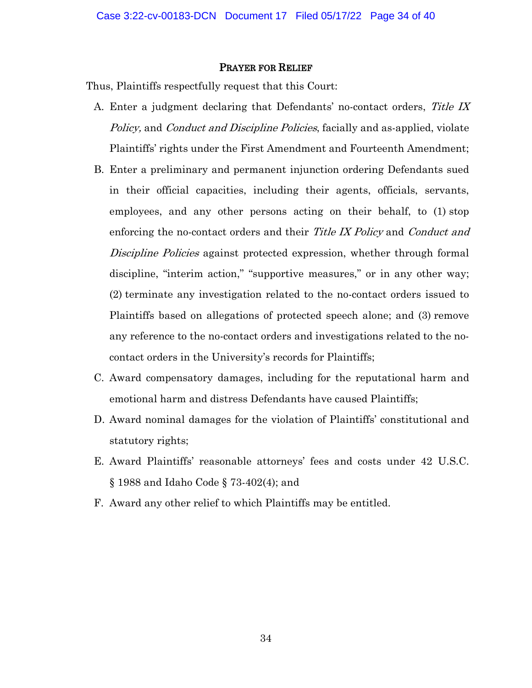# PRAYER FOR RELIEF

Thus, Plaintiffs respectfully request that this Court:

- A. Enter a judgment declaring that Defendants' no-contact orders, Title IX Policy, and Conduct and Discipline Policies, facially and as-applied, violate Plaintiffs' rights under the First Amendment and Fourteenth Amendment;
- B. Enter a preliminary and permanent injunction ordering Defendants sued in their official capacities, including their agents, officials, servants, employees, and any other persons acting on their behalf, to (1) stop enforcing the no-contact orders and their *Title IX Policy* and *Conduct and* Discipline Policies against protected expression, whether through formal discipline, "interim action," "supportive measures," or in any other way; (2) terminate any investigation related to the no-contact orders issued to Plaintiffs based on allegations of protected speech alone; and (3) remove any reference to the no-contact orders and investigations related to the nocontact orders in the University's records for Plaintiffs;
- C. Award compensatory damages, including for the reputational harm and emotional harm and distress Defendants have caused Plaintiffs;
- D. Award nominal damages for the violation of Plaintiffs' constitutional and statutory rights;
- E. Award Plaintiffs' reasonable attorneys' fees and costs under 42 U.S.C. § 1988 and Idaho Code § 73-402(4); and
- F. Award any other relief to which Plaintiffs may be entitled.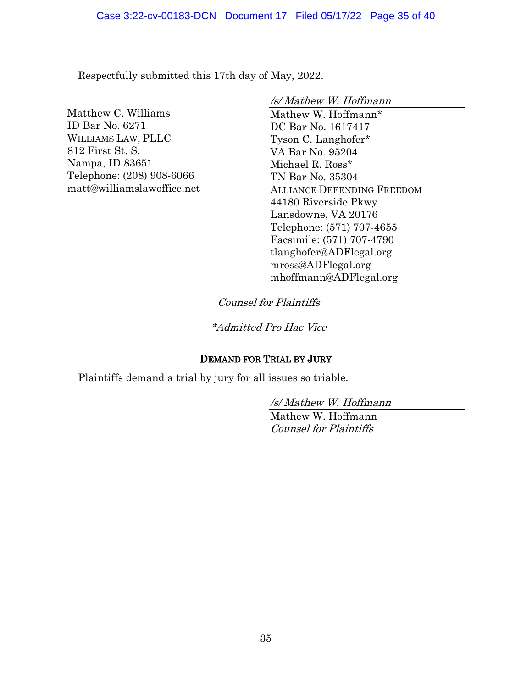Respectfully submitted this 17th day of May, 2022.

Matthew C. Williams ID Bar No. 6271 WILLIAMS LAW, PLLC 812 First St. S. Nampa, ID 83651 Telephone: (208) 908-6066 matt@williamslawoffice.net /s/ Mathew W. Hoffmann

Mathew W. Hoffmann\* DC Bar No. 1617417 Tyson C. Langhofer\* VA Bar No. 95204 Michael R. Ross\* TN Bar No. 35304 ALLIANCE DEFENDING FREEDOM 44180 Riverside Pkwy Lansdowne, VA 20176 Telephone: (571) 707-4655 Facsimile: (571) 707-4790 tlanghofer@ADFlegal.org mross@ADFlegal.org mhoffmann@ADFlegal.org

Counsel for Plaintiffs

\*Admitted Pro Hac Vice

# DEMAND FOR TRIAL BY JURY

Plaintiffs demand a trial by jury for all issues so triable.

/s/ Mathew W. Hoffmann Mathew W. Hoffmann

Counsel for Plaintiffs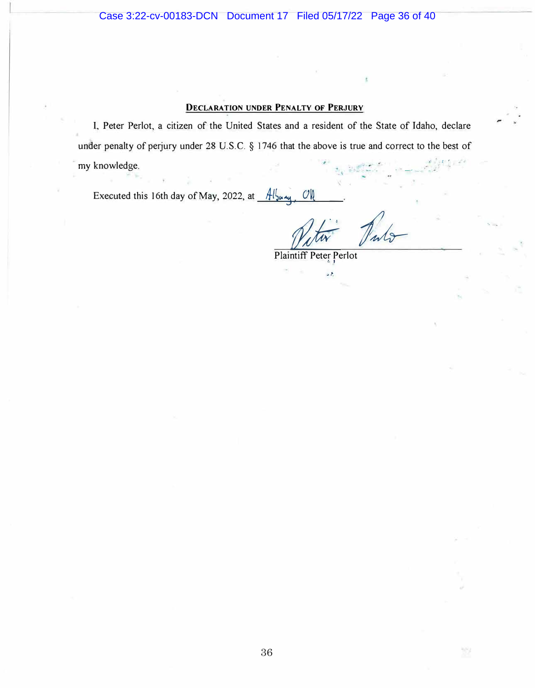# **DECLARATION UNDER PENALTY OF PERJURY**

1, Peter Perlot, a citizen of the United States and a resident of the State of Idaho, declare under penalty of perjury under 28 U.S.C. § 1746 that the above is true and correct to the best of my knowledge. · · s •

Executed this 16th day of May, 2022, at  $\frac{A_1}{2}$ ,  $\frac{C_1}{C_2}$ 

Plaintiff Peter Perlot Puto

' .

12

, .•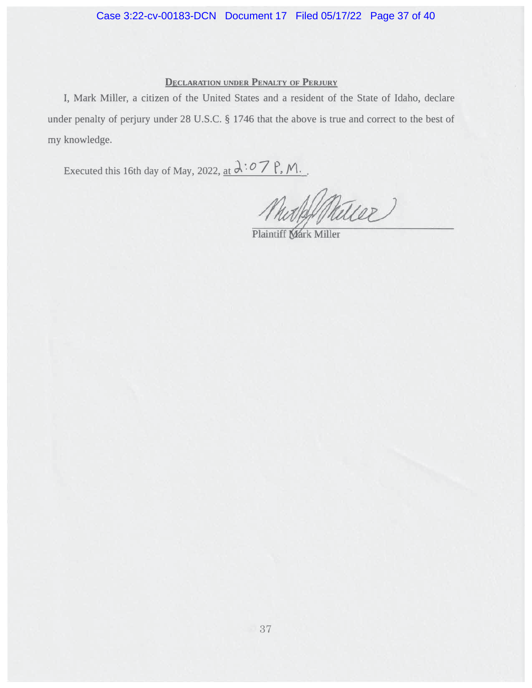# Case 3:22-cv-00183-DCN Document 17 Filed 05/17/22 Page 37 of 40

#### **DECLARATION UNDER PENALTY OF PERJURY**

I, Mark Miller, a citizen of the United States and a resident of the State of Idaho, declare under penalty of perjury under 28 U.S.C. § 1746 that the above is true and correct to the best of my knowledge.

Executed this 16th day of May, 2022, <u>at  $\overrightarrow{d:O}$  P, M</u>.

Mustaf Mutter

Plaintiff Mark Miller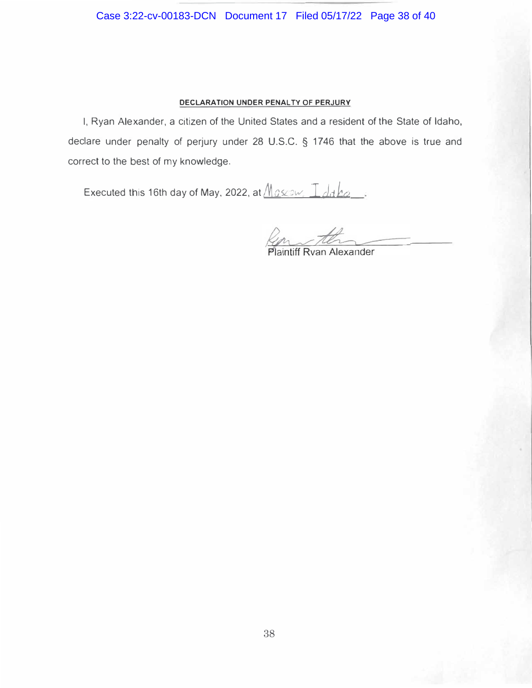# Case 3:22-cv-00183-DCN Document 17 Filed 05/17/22 Page 38 of 40

# **DECLARATION UNDER PENALTY OF PERJURY**

I, Ryan Alexander, a citizen of the United States and a resident of the State of Idaho, declare under penalty of perjury under 28 U.S.C. § 1746 that the above is true and correct to the best of my knowledge.

Executed this 16th day of May, 2022, at  $M$ *ascaw*  $\Box$ ddha

aintiff Ryan Alexander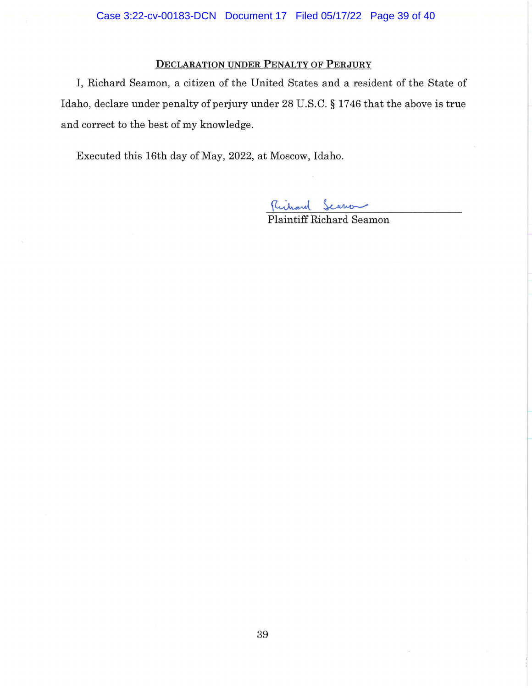# **DECLARATION UNDER PENALTY OF PERJURY**

I, Richard Seamon, a citizen of the United States and a resident of the State of Idaho, declare under penalty of perjury under 28 U.S.C. § 17 46 that the above is true and correct to the best of my knowledge.

Executed this 16th day of May, 2022, at Moscow, Idaho.

Richard Searro

Plaintiff Richard Seamon

I-